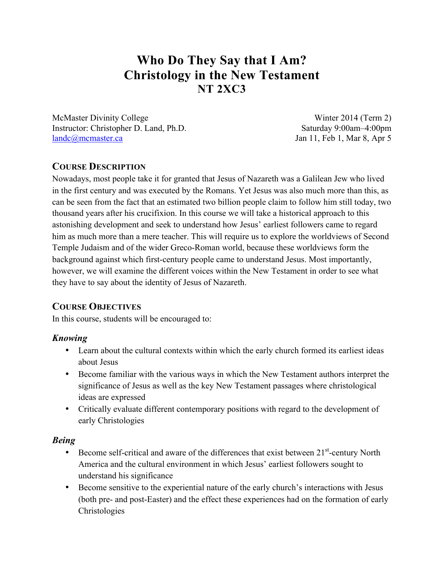# **Who Do They Say that I Am? Christology in the New Testament NT 2XC3**

McMaster Divinity College Winter 2014 (Term 2) Instructor: Christopher D. Land, Ph.D. Saturday 9:00am–4:00pm landc@mcmaster.ca Jan 11, Feb 1, Mar 8, Apr 5

# **COURSE DESCRIPTION**

Nowadays, most people take it for granted that Jesus of Nazareth was a Galilean Jew who lived in the first century and was executed by the Romans. Yet Jesus was also much more than this, as can be seen from the fact that an estimated two billion people claim to follow him still today, two thousand years after his crucifixion. In this course we will take a historical approach to this astonishing development and seek to understand how Jesus' earliest followers came to regard him as much more than a mere teacher. This will require us to explore the worldviews of Second Temple Judaism and of the wider Greco-Roman world, because these worldviews form the background against which first-century people came to understand Jesus. Most importantly, however, we will examine the different voices within the New Testament in order to see what they have to say about the identity of Jesus of Nazareth.

# **COURSE OBJECTIVES**

In this course, students will be encouraged to:

# *Knowing*

- Learn about the cultural contexts within which the early church formed its earliest ideas about Jesus
- Become familiar with the various ways in which the New Testament authors interpret the significance of Jesus as well as the key New Testament passages where christological ideas are expressed
- Critically evaluate different contemporary positions with regard to the development of early Christologies

# *Being*

- Become self-critical and aware of the differences that exist between 21<sup>st</sup>-century North America and the cultural environment in which Jesus' earliest followers sought to understand his significance
- Become sensitive to the experiential nature of the early church's interactions with Jesus (both pre- and post-Easter) and the effect these experiences had on the formation of early Christologies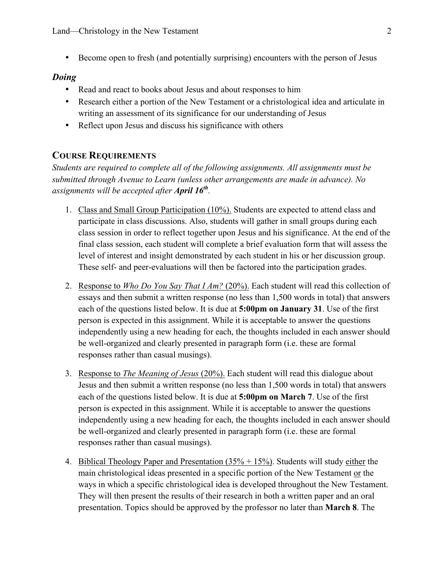• Become open to fresh (and potentially surprising) encounters with the person of Jesus

#### *Doing*

- Read and react to books about Jesus and about responses to him
- Research either a portion of the New Testament or a christological idea and articulate in writing an assessment of its significance for our understanding of Jesus
- Reflect upon Jesus and discuss his significance with others

## **COURSE REQUIREMENTS**

*Students are required to complete all of the following assignments. All assignments must be submitted through Avenue to Learn (unless other arrangements are made in advance). No assignments will be accepted after April 16th.*

- 1. Class and Small Group Participation (10%). Students are expected to attend class and participate in class discussions. Also, students will gather in small groups during each class session in order to reflect together upon Jesus and his significance. At the end of the final class session, each student will complete a brief evaluation form that will assess the level of interest and insight demonstrated by each student in his or her discussion group. These self- and peer-evaluations will then be factored into the participation grades.
- 2. Response to *Who Do You Say That I Am?* (20%). Each student will read this collection of essays and then submit a written response (no less than 1,500 words in total) that answers each of the questions listed below. It is due at **5:00pm on January 31**. Use of the first person is expected in this assignment. While it is acceptable to answer the questions independently using a new heading for each, the thoughts included in each answer should be well-organized and clearly presented in paragraph form (i.e. these are formal responses rather than casual musings).
- 3. Response to *The Meaning of Jesus* (20%). Each student will read this dialogue about Jesus and then submit a written response (no less than 1,500 words in total) that answers each of the questions listed below. It is due at **5:00pm on March 7**. Use of the first person is expected in this assignment. While it is acceptable to answer the questions independently using a new heading for each, the thoughts included in each answer should be well-organized and clearly presented in paragraph form (i.e. these are formal responses rather than casual musings).
- 4. Biblical Theology Paper and Presentation (35% + 15%). Students will study either the main christological ideas presented in a specific portion of the New Testament or the ways in which a specific christological idea is developed throughout the New Testament. They will then present the results of their research in both a written paper and an oral presentation. Topics should be approved by the professor no later than **March 8**. The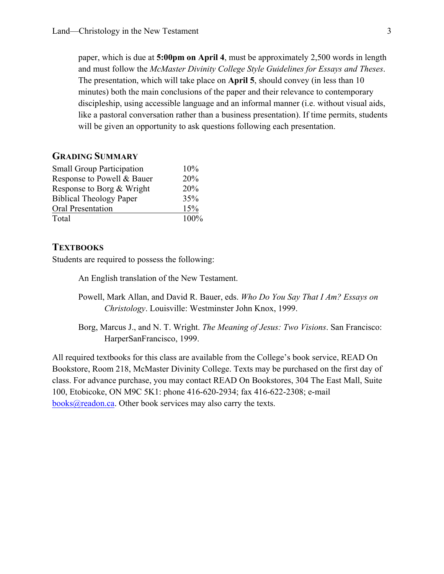paper, which is due at **5:00pm on April 4**, must be approximately 2,500 words in length and must follow the *McMaster Divinity College Style Guidelines for Essays and Theses*. The presentation, which will take place on **April 5**, should convey (in less than 10 minutes) both the main conclusions of the paper and their relevance to contemporary discipleship, using accessible language and an informal manner (i.e. without visual aids, like a pastoral conversation rather than a business presentation). If time permits, students will be given an opportunity to ask questions following each presentation.

## **GRADING SUMMARY**

| <b>Small Group Participation</b> | 10%  |
|----------------------------------|------|
| Response to Powell & Bauer       | 20%  |
| Response to Borg & Wright        | 20%  |
| <b>Biblical Theology Paper</b>   | 35%  |
| Oral Presentation                | 15%  |
| Total                            | 100% |

## **TEXTBOOKS**

Students are required to possess the following:

An English translation of the New Testament.

Powell, Mark Allan, and David R. Bauer, eds. *Who Do You Say That I Am? Essays on Christology*. Louisville: Westminster John Knox, 1999.

Borg, Marcus J., and N. T. Wright. *The Meaning of Jesus: Two Visions*. San Francisco: HarperSanFrancisco, 1999.

All required textbooks for this class are available from the College's book service, READ On Bookstore, Room 218, McMaster Divinity College. Texts may be purchased on the first day of class. For advance purchase, you may contact READ On Bookstores, 304 The East Mall, Suite 100, Etobicoke, ON M9C 5K1: phone 416-620-2934; fax 416-622-2308; e-mail books@readon.ca. Other book services may also carry the texts.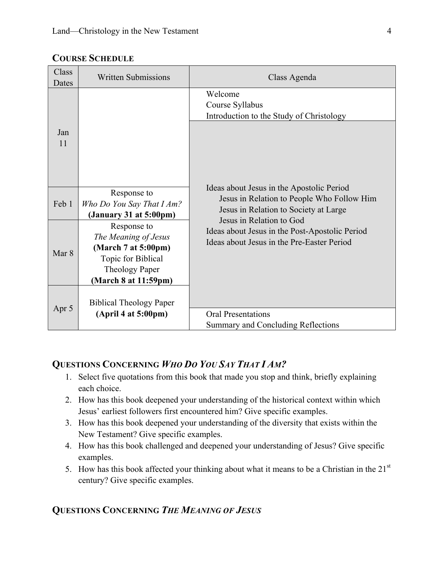| Class<br>Dates | <b>Written Submissions</b>                                                                                                 | Class Agenda                                                                                                                                                                                                                                                 |
|----------------|----------------------------------------------------------------------------------------------------------------------------|--------------------------------------------------------------------------------------------------------------------------------------------------------------------------------------------------------------------------------------------------------------|
| Jan<br>11      |                                                                                                                            | Welcome<br>Course Syllabus<br>Introduction to the Study of Christology                                                                                                                                                                                       |
| Feb 1          | Response to<br>Who Do You Say That I Am?<br>(January 31 at $5:00 \text{pm}$ )                                              | Ideas about Jesus in the Apostolic Period<br>Jesus in Relation to People Who Follow Him<br>Jesus in Relation to Society at Large<br>Jesus in Relation to God<br>Ideas about Jesus in the Post-Apostolic Period<br>Ideas about Jesus in the Pre-Easter Period |
| Mar 8          | Response to<br>The Meaning of Jesus<br>(March 7 at 5:00pm)<br>Topic for Biblical<br>Theology Paper<br>(March 8 at 11:59pm) |                                                                                                                                                                                                                                                              |
| Apr 5          | <b>Biblical Theology Paper</b><br>(April 4 at 5:00pm)                                                                      | Oral Presentations<br>Summary and Concluding Reflections                                                                                                                                                                                                     |

# **COURSE SCHEDULE**

# **QUESTIONS CONCERNING** *WHO DO YOU SAY THAT I AM?*

- 1. Select five quotations from this book that made you stop and think, briefly explaining each choice.
- 2. How has this book deepened your understanding of the historical context within which Jesus' earliest followers first encountered him? Give specific examples.
- 3. How has this book deepened your understanding of the diversity that exists within the New Testament? Give specific examples.
- 4. How has this book challenged and deepened your understanding of Jesus? Give specific examples.
- 5. How has this book affected your thinking about what it means to be a Christian in the  $21<sup>st</sup>$ century? Give specific examples.

# **QUESTIONS CONCERNING** *THE MEANING OF JESUS*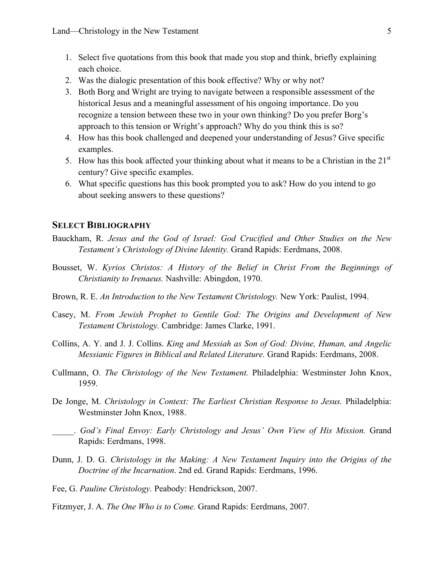- 1. Select five quotations from this book that made you stop and think, briefly explaining each choice.
- 2. Was the dialogic presentation of this book effective? Why or why not?
- 3. Both Borg and Wright are trying to navigate between a responsible assessment of the historical Jesus and a meaningful assessment of his ongoing importance. Do you recognize a tension between these two in your own thinking? Do you prefer Borg's approach to this tension or Wright's approach? Why do you think this is so?
- 4. How has this book challenged and deepened your understanding of Jesus? Give specific examples.
- 5. How has this book affected your thinking about what it means to be a Christian in the  $21<sup>st</sup>$ century? Give specific examples.
- 6. What specific questions has this book prompted you to ask? How do you intend to go about seeking answers to these questions?

#### **SELECT BIBLIOGRAPHY**

- Bauckham, R. *Jesus and the God of Israel: God Crucified and Other Studies on the New Testament's Christology of Divine Identity.* Grand Rapids: Eerdmans, 2008.
- Bousset, W. *Kyrios Christos: A History of the Belief in Christ From the Beginnings of Christianity to Irenaeus.* Nashville: Abingdon, 1970.
- Brown, R. E. *An Introduction to the New Testament Christology.* New York: Paulist, 1994.
- Casey, M. *From Jewish Prophet to Gentile God: The Origins and Development of New Testament Christology.* Cambridge: James Clarke, 1991.
- Collins, A. Y. and J. J. Collins. *King and Messiah as Son of God: Divine, Human, and Angelic Messianic Figures in Biblical and Related Literature.* Grand Rapids: Eerdmans, 2008.
- Cullmann, O. *The Christology of the New Testament.* Philadelphia: Westminster John Knox, 1959.
- De Jonge, M. *Christology in Context: The Earliest Christian Response to Jesus.* Philadelphia: Westminster John Knox, 1988.
- \_\_\_\_\_. *God's Final Envoy: Early Christology and Jesus' Own View of His Mission.* Grand Rapids: Eerdmans, 1998.
- Dunn, J. D. G. *Christology in the Making: A New Testament Inquiry into the Origins of the Doctrine of the Incarnation*. 2nd ed. Grand Rapids: Eerdmans, 1996.
- Fee, G. *Pauline Christology.* Peabody: Hendrickson, 2007.
- Fitzmyer, J. A. *The One Who is to Come.* Grand Rapids: Eerdmans, 2007.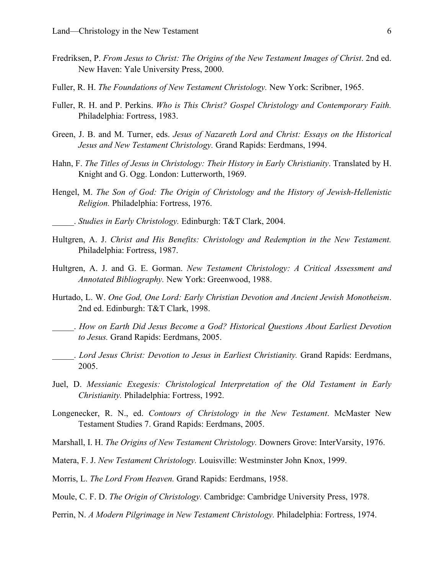- Fredriksen, P. *From Jesus to Christ: The Origins of the New Testament Images of Christ*. 2nd ed. New Haven: Yale University Press, 2000.
- Fuller, R. H. *The Foundations of New Testament Christology.* New York: Scribner, 1965.
- Fuller, R. H. and P. Perkins. *Who is This Christ? Gospel Christology and Contemporary Faith.* Philadelphia: Fortress, 1983.
- Green, J. B. and M. Turner, eds. *Jesus of Nazareth Lord and Christ: Essays on the Historical Jesus and New Testament Christology.* Grand Rapids: Eerdmans, 1994.
- Hahn, F. *The Titles of Jesus in Christology: Their History in Early Christianity*. Translated by H. Knight and G. Ogg. London: Lutterworth, 1969.
- Hengel, M. *The Son of God: The Origin of Christology and the History of Jewish-Hellenistic Religion.* Philadelphia: Fortress, 1976.
- \_\_\_\_\_. *Studies in Early Christology.* Edinburgh: T&T Clark, 2004.
- Hultgren, A. J. *Christ and His Benefits: Christology and Redemption in the New Testament.* Philadelphia: Fortress, 1987.
- Hultgren, A. J. and G. E. Gorman. *New Testament Christology: A Critical Assessment and Annotated Bibliography.* New York: Greenwood, 1988.
- Hurtado, L. W. *One God, One Lord: Early Christian Devotion and Ancient Jewish Monotheism*. 2nd ed. Edinburgh: T&T Clark, 1998.
- \_\_\_\_\_. *How on Earth Did Jesus Become a God? Historical Questions About Earliest Devotion to Jesus.* Grand Rapids: Eerdmans, 2005.
- \_\_\_\_\_. *Lord Jesus Christ: Devotion to Jesus in Earliest Christianity.* Grand Rapids: Eerdmans, 2005.
- Juel, D. *Messianic Exegesis: Christological Interpretation of the Old Testament in Early Christianity.* Philadelphia: Fortress, 1992.
- Longenecker, R. N., ed. *Contours of Christology in the New Testament*. McMaster New Testament Studies 7. Grand Rapids: Eerdmans, 2005.
- Marshall, I. H. *The Origins of New Testament Christology.* Downers Grove: InterVarsity, 1976.
- Matera, F. J. *New Testament Christology.* Louisville: Westminster John Knox, 1999.
- Morris, L. *The Lord From Heaven.* Grand Rapids: Eerdmans, 1958.
- Moule, C. F. D. *The Origin of Christology.* Cambridge: Cambridge University Press, 1978.
- Perrin, N. *A Modern Pilgrimage in New Testament Christology.* Philadelphia: Fortress, 1974.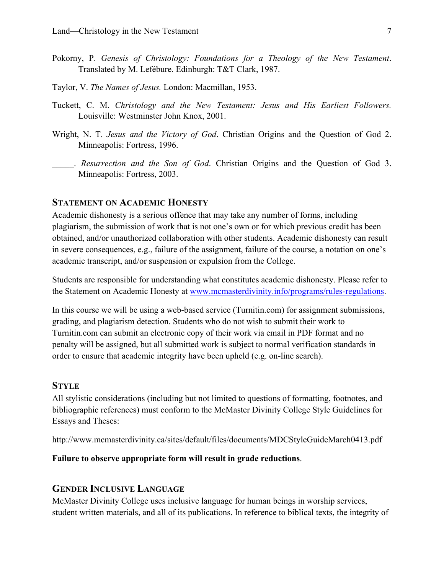- Pokorny, P. *Genesis of Christology: Foundations for a Theology of the New Testament*. Translated by M. Lefébure. Edinburgh: T&T Clark, 1987.
- Taylor, V. *The Names of Jesus.* London: Macmillan, 1953.
- Tuckett, C. M. *Christology and the New Testament: Jesus and His Earliest Followers.* Louisville: Westminster John Knox, 2001.
- Wright, N. T. *Jesus and the Victory of God*. Christian Origins and the Question of God 2. Minneapolis: Fortress, 1996.
	- \_\_\_\_\_. *Resurrection and the Son of God*. Christian Origins and the Question of God 3. Minneapolis: Fortress, 2003.

# **STATEMENT ON ACADEMIC HONESTY**

Academic dishonesty is a serious offence that may take any number of forms, including plagiarism, the submission of work that is not one's own or for which previous credit has been obtained, and/or unauthorized collaboration with other students. Academic dishonesty can result in severe consequences, e.g., failure of the assignment, failure of the course, a notation on one's academic transcript, and/or suspension or expulsion from the College.

Students are responsible for understanding what constitutes academic dishonesty. Please refer to the Statement on Academic Honesty at www.mcmasterdivinity.info/programs/rules-regulations.

In this course we will be using a web-based service (Turnitin.com) for assignment submissions, grading, and plagiarism detection. Students who do not wish to submit their work to Turnitin.com can submit an electronic copy of their work via email in PDF format and no penalty will be assigned, but all submitted work is subject to normal verification standards in order to ensure that academic integrity have been upheld (e.g. on-line search).

## **STYLE**

All stylistic considerations (including but not limited to questions of formatting, footnotes, and bibliographic references) must conform to the McMaster Divinity College Style Guidelines for Essays and Theses:

http://www.mcmasterdivinity.ca/sites/default/files/documents/MDCStyleGuideMarch0413.pdf

## **Failure to observe appropriate form will result in grade reductions**.

#### **GENDER INCLUSIVE LANGUAGE**

McMaster Divinity College uses inclusive language for human beings in worship services, student written materials, and all of its publications. In reference to biblical texts, the integrity of